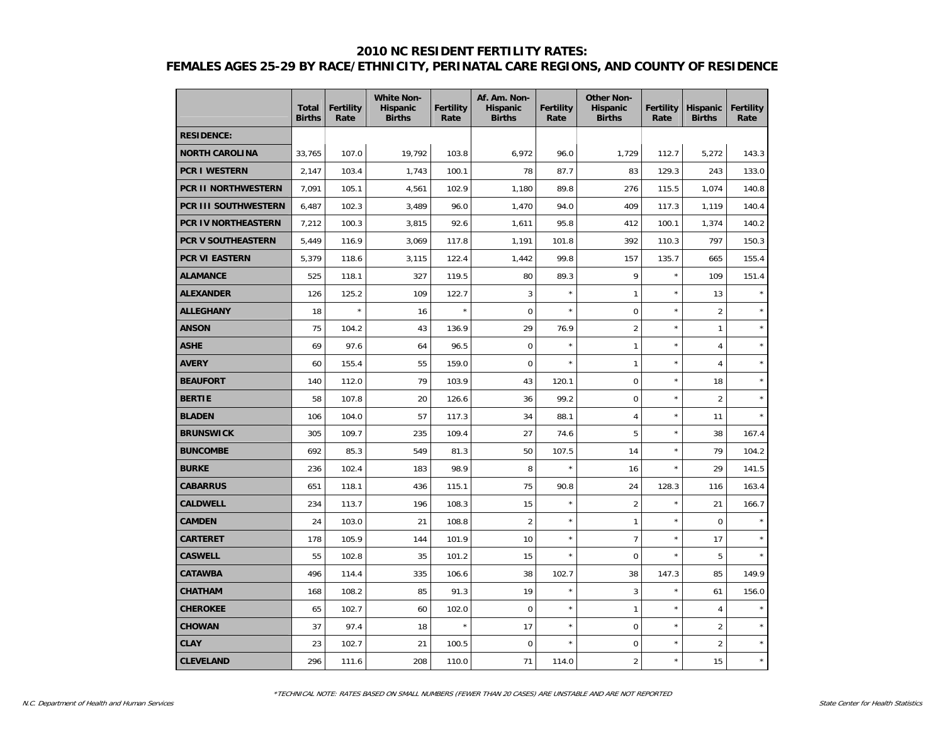#### **2010 NC RESIDENT FERTILITY RATES:**

# **FEMALES AGES 25-29 BY RACE/ETHNICITY, PERINATAL CARE REGIONS, AND COUNTY OF RESIDENCE**

|                       | <b>Total</b><br><b>Births</b> | <b>Fertility</b><br>Rate | <b>White Non-</b><br>Hispanic<br><b>Births</b> | <b>Fertility</b><br>Rate | Af. Am. Non-<br><b>Hispanic</b><br><b>Births</b> | <b>Fertility</b><br>Rate | <b>Other Non-</b><br><b>Hispanic</b><br><b>Births</b> | <b>Fertility</b><br>Rate | Hispanic<br><b>Births</b> | <b>Fertility</b><br>Rate |
|-----------------------|-------------------------------|--------------------------|------------------------------------------------|--------------------------|--------------------------------------------------|--------------------------|-------------------------------------------------------|--------------------------|---------------------------|--------------------------|
| <b>RESIDENCE:</b>     |                               |                          |                                                |                          |                                                  |                          |                                                       |                          |                           |                          |
| <b>NORTH CAROLINA</b> | 33,765                        | 107.0                    | 19,792                                         | 103.8                    | 6,972                                            | 96.0                     | 1,729                                                 | 112.7                    | 5,272                     | 143.3                    |
| <b>PCR I WESTERN</b>  | 2,147                         | 103.4                    | 1,743                                          | 100.1                    | 78                                               | 87.7                     | 83                                                    | 129.3                    | 243                       | 133.0                    |
| PCR II NORTHWESTERN   | 7,091                         | 105.1                    | 4,561                                          | 102.9                    | 1,180                                            | 89.8                     | 276                                                   | 115.5                    | 1,074                     | 140.8                    |
| PCR III SOUTHWESTERN  | 6,487                         | 102.3                    | 3,489                                          | 96.0                     | 1,470                                            | 94.0                     | 409                                                   | 117.3                    | 1,119                     | 140.4                    |
| PCR IV NORTHEASTERN   | 7,212                         | 100.3                    | 3,815                                          | 92.6                     | 1,611                                            | 95.8                     | 412                                                   | 100.1                    | 1,374                     | 140.2                    |
| PCR V SOUTHEASTERN    | 5,449                         | 116.9                    | 3,069                                          | 117.8                    | 1,191                                            | 101.8                    | 392                                                   | 110.3                    | 797                       | 150.3                    |
| PCR VI EASTERN        | 5,379                         | 118.6                    | 3,115                                          | 122.4                    | 1,442                                            | 99.8                     | 157                                                   | 135.7                    | 665                       | 155.4                    |
| <b>ALAMANCE</b>       | 525                           | 118.1                    | 327                                            | 119.5                    | 80                                               | 89.3                     | 9                                                     | $\star$                  | 109                       | 151.4                    |
| <b>ALEXANDER</b>      | 126                           | 125.2                    | 109                                            | 122.7                    | 3                                                | $\star$                  | $\mathbf{1}$                                          | $\star$                  | 13                        | $\star$                  |
| <b>ALLEGHANY</b>      | 18                            | $\star$                  | 16                                             | $\star$                  | $\mathbf 0$                                      | $\star$                  | 0                                                     | $\star$                  | $\overline{2}$            | $\star$                  |
| <b>ANSON</b>          | 75                            | 104.2                    | 43                                             | 136.9                    | 29                                               | 76.9                     | $\overline{2}$                                        | $\star$                  | $\mathbf{1}$              | $\star$                  |
| <b>ASHE</b>           | 69                            | 97.6                     | 64                                             | 96.5                     | $\overline{0}$                                   | $\star$                  | $\mathbf{1}$                                          | $\star$                  | 4                         | $\star$                  |
| <b>AVERY</b>          | 60                            | 155.4                    | 55                                             | 159.0                    | $\mathbf 0$                                      | $\star$                  | $\mathbf{1}$                                          | $\star$                  | 4                         | $\star$                  |
| <b>BEAUFORT</b>       | 140                           | 112.0                    | 79                                             | 103.9                    | 43                                               | 120.1                    | $\mathbf 0$                                           | $\star$                  | 18                        | $\star$                  |
| <b>BERTIE</b>         | 58                            | 107.8                    | 20                                             | 126.6                    | 36                                               | 99.2                     | 0                                                     | $\star$                  | $\overline{2}$            | $\star$                  |
| <b>BLADEN</b>         | 106                           | 104.0                    | 57                                             | 117.3                    | 34                                               | 88.1                     | $\overline{4}$                                        | $\star$                  | 11                        |                          |
| <b>BRUNSWICK</b>      | 305                           | 109.7                    | 235                                            | 109.4                    | 27                                               | 74.6                     | 5                                                     | $\star$                  | 38                        | 167.4                    |
| <b>BUNCOMBE</b>       | 692                           | 85.3                     | 549                                            | 81.3                     | 50                                               | 107.5                    | 14                                                    | $\star$                  | 79                        | 104.2                    |
| <b>BURKE</b>          | 236                           | 102.4                    | 183                                            | 98.9                     | 8                                                |                          | 16                                                    | $\star$                  | 29                        | 141.5                    |
| <b>CABARRUS</b>       | 651                           | 118.1                    | 436                                            | 115.1                    | 75                                               | 90.8                     | 24                                                    | 128.3                    | 116                       | 163.4                    |
| <b>CALDWELL</b>       | 234                           | 113.7                    | 196                                            | 108.3                    | 15                                               | $\star$                  | $\overline{2}$                                        | $\star$                  | 21                        | 166.7                    |
| <b>CAMDEN</b>         | 24                            | 103.0                    | 21                                             | 108.8                    | $\overline{2}$                                   | $\star$                  | $\mathbf{1}$                                          | $\star$                  | $\mathbf 0$               |                          |
| <b>CARTERET</b>       | 178                           | 105.9                    | 144                                            | 101.9                    | 10                                               | $\star$                  | $\overline{7}$                                        | $\star$                  | 17                        |                          |
| <b>CASWELL</b>        | 55                            | 102.8                    | 35                                             | 101.2                    | 15                                               | $\star$                  | $\mathbf 0$                                           | $\star$                  | 5                         |                          |
| <b>CATAWBA</b>        | 496                           | 114.4                    | 335                                            | 106.6                    | 38                                               | 102.7                    | 38                                                    | 147.3                    | 85                        | 149.9                    |
| <b>CHATHAM</b>        | 168                           | 108.2                    | 85                                             | 91.3                     | 19                                               | $\star$                  | 3                                                     | $\star$                  | 61                        | 156.0                    |
| <b>CHEROKEE</b>       | 65                            | 102.7                    | 60                                             | 102.0                    | $\overline{0}$                                   | $\star$                  | 1                                                     | $\star$                  | 4                         |                          |
| <b>CHOWAN</b>         | 37                            | 97.4                     | 18                                             | $\star$                  | 17                                               | $\star$                  | $\mathbf 0$                                           | $\star$                  | $\overline{2}$            | $\star$                  |
| <b>CLAY</b>           | 23                            | 102.7                    | 21                                             | 100.5                    | 0                                                | $\star$                  | $\mathbf 0$                                           | $^{\star}$               | $\overline{2}$            | $\star$                  |
| <b>CLEVELAND</b>      | 296                           | 111.6                    | 208                                            | 110.0                    | 71                                               | 114.0                    | $\overline{2}$                                        | $\star$                  | 15                        | $\star$                  |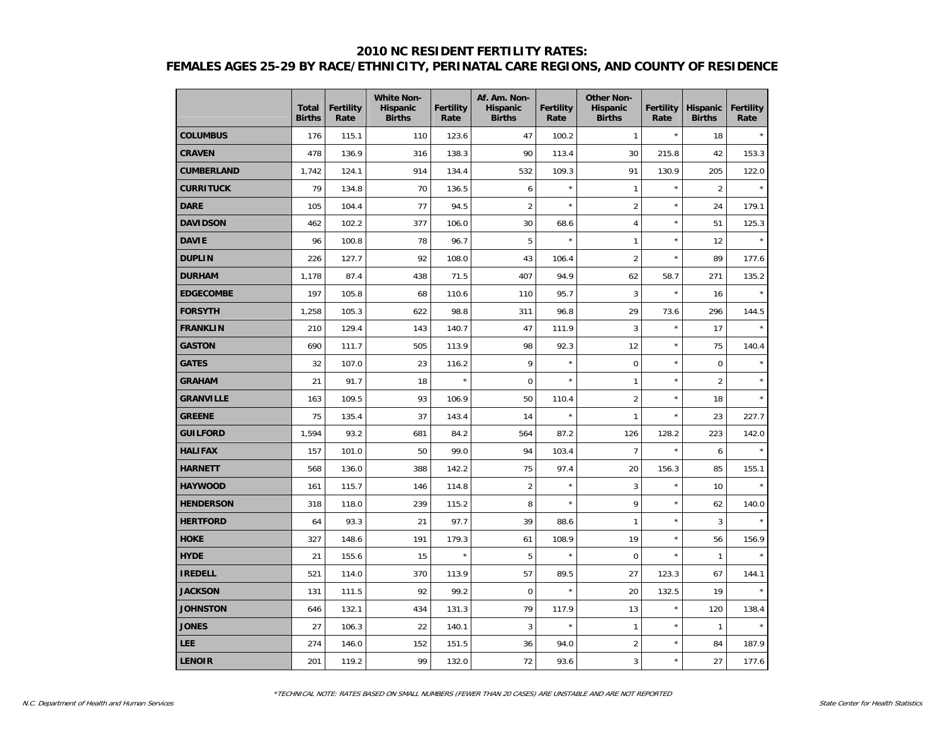## **2010 NC RESIDENT FERTILITY RATES: FEMALES AGES 25-29 BY RACE/ETHNICITY, PERINATAL CARE REGIONS, AND COUNTY OF RESIDENCE**

|                   | <b>Total</b><br><b>Births</b> | <b>Fertility</b><br>Rate | <b>White Non-</b><br><b>Hispanic</b><br><b>Births</b> | Fertility<br>Rate | Af. Am. Non-<br><b>Hispanic</b><br><b>Births</b> | <b>Fertility</b><br>Rate | <b>Other Non-</b><br><b>Hispanic</b><br><b>Births</b> | <b>Fertility</b><br>Rate | <b>Hispanic</b><br><b>Births</b> | <b>Fertility</b><br>Rate |
|-------------------|-------------------------------|--------------------------|-------------------------------------------------------|-------------------|--------------------------------------------------|--------------------------|-------------------------------------------------------|--------------------------|----------------------------------|--------------------------|
| <b>COLUMBUS</b>   | 176                           | 115.1                    | 110                                                   | 123.6             | 47                                               | 100.2                    | $\mathbf{1}$                                          | $\star$                  | 18                               |                          |
| <b>CRAVEN</b>     | 478                           | 136.9                    | 316                                                   | 138.3             | 90                                               | 113.4                    | 30                                                    | 215.8                    | 42                               | 153.3                    |
| <b>CUMBERLAND</b> | 1,742                         | 124.1                    | 914                                                   | 134.4             | 532                                              | 109.3                    | 91                                                    | 130.9                    | 205                              | 122.0                    |
| <b>CURRITUCK</b>  | 79                            | 134.8                    | 70                                                    | 136.5             | 6                                                |                          | $\mathbf{1}$                                          | $\star$                  | $\overline{2}$                   |                          |
| <b>DARE</b>       | 105                           | 104.4                    | 77                                                    | 94.5              | $\overline{2}$                                   | $\star$                  | $\overline{2}$                                        | $\star$                  | 24                               | 179.1                    |
| <b>DAVIDSON</b>   | 462                           | 102.2                    | 377                                                   | 106.0             | 30                                               | 68.6                     | 4                                                     | $\star$                  | 51                               | 125.3                    |
| <b>DAVIE</b>      | 96                            | 100.8                    | 78                                                    | 96.7              | 5                                                | $\star$                  | 1                                                     | $\star$                  | 12                               |                          |
| <b>DUPLIN</b>     | 226                           | 127.7                    | 92                                                    | 108.0             | 43                                               | 106.4                    | $\overline{2}$                                        | $\star$                  | 89                               | 177.6                    |
| <b>DURHAM</b>     | 1,178                         | 87.4                     | 438                                                   | 71.5              | 407                                              | 94.9                     | 62                                                    | 58.7                     | 271                              | 135.2                    |
| <b>EDGECOMBE</b>  | 197                           | 105.8                    | 68                                                    | 110.6             | 110                                              | 95.7                     | 3                                                     | $\star$                  | 16                               |                          |
| <b>FORSYTH</b>    | 1,258                         | 105.3                    | 622                                                   | 98.8              | 311                                              | 96.8                     | 29                                                    | 73.6                     | 296                              | 144.5                    |
| <b>FRANKLIN</b>   | 210                           | 129.4                    | 143                                                   | 140.7             | 47                                               | 111.9                    | 3                                                     | $\star$                  | 17                               |                          |
| <b>GASTON</b>     | 690                           | 111.7                    | 505                                                   | 113.9             | 98                                               | 92.3                     | 12                                                    | $\star$                  | 75                               | 140.4                    |
| <b>GATES</b>      | 32                            | 107.0                    | 23                                                    | 116.2             | 9                                                | $\star$                  | $\mathbf 0$                                           | $\star$                  | $\mathbf 0$                      |                          |
| <b>GRAHAM</b>     | 21                            | 91.7                     | 18                                                    | $\star$           | $\mathbf 0$                                      | $\star$                  | 1                                                     | $\star$                  | $\overline{2}$                   | $\star$                  |
| <b>GRANVILLE</b>  | 163                           | 109.5                    | 93                                                    | 106.9             | 50                                               | 110.4                    | $\overline{2}$                                        | $\star$                  | 18                               |                          |
| <b>GREENE</b>     | 75                            | 135.4                    | 37                                                    | 143.4             | 14                                               | $\star$                  | 1                                                     | $\star$                  | 23                               | 227.7                    |
| <b>GUILFORD</b>   | 1,594                         | 93.2                     | 681                                                   | 84.2              | 564                                              | 87.2                     | 126                                                   | 128.2                    | 223                              | 142.0                    |
| <b>HALIFAX</b>    | 157                           | 101.0                    | 50                                                    | 99.0              | 94                                               | 103.4                    | $\overline{7}$                                        | $\star$                  | 6                                |                          |
| <b>HARNETT</b>    | 568                           | 136.0                    | 388                                                   | 142.2             | 75                                               | 97.4                     | 20                                                    | 156.3                    | 85                               | 155.1                    |
| <b>HAYWOOD</b>    | 161                           | 115.7                    | 146                                                   | 114.8             | $\overline{2}$                                   |                          | 3                                                     | $\star$                  | 10                               |                          |
| <b>HENDERSON</b>  | 318                           | 118.0                    | 239                                                   | 115.2             | 8                                                | $\star$                  | 9                                                     | $\star$                  | 62                               | 140.0                    |
| <b>HERTFORD</b>   | 64                            | 93.3                     | 21                                                    | 97.7              | 39                                               | 88.6                     | $\mathbf{1}$                                          | $\star$                  | 3                                |                          |
| <b>HOKE</b>       | 327                           | 148.6                    | 191                                                   | 179.3             | 61                                               | 108.9                    | 19                                                    | $\star$                  | 56                               | 156.9                    |
| <b>HYDE</b>       | 21                            | 155.6                    | 15                                                    | $\star$           | 5                                                | $\star$                  | $\mathbf 0$                                           | $\star$                  | $\mathbf{1}$                     |                          |
| <b>IREDELL</b>    | 521                           | 114.0                    | 370                                                   | 113.9             | 57                                               | 89.5                     | 27                                                    | 123.3                    | 67                               | 144.1                    |
| <b>JACKSON</b>    | 131                           | 111.5                    | 92                                                    | 99.2              | $\mathbf 0$                                      | $\star$                  | 20                                                    | 132.5                    | 19                               |                          |
| <b>JOHNSTON</b>   | 646                           | 132.1                    | 434                                                   | 131.3             | 79                                               | 117.9                    | 13                                                    | $\star$                  | 120                              | 138.4                    |
| <b>JONES</b>      | 27                            | 106.3                    | 22                                                    | 140.1             | 3                                                | $\star$                  | $\mathbf{1}$                                          | $\star$                  | $\mathbf{1}$                     |                          |
| <b>LEE</b>        | 274                           | 146.0                    | 152                                                   | 151.5             | 36                                               | 94.0                     | $\overline{2}$                                        | $\star$                  | 84                               | 187.9                    |
| <b>LENOIR</b>     | 201                           | 119.2                    | 99                                                    | 132.0             | 72                                               | 93.6                     | 3                                                     | $\star$                  | 27                               | 177.6                    |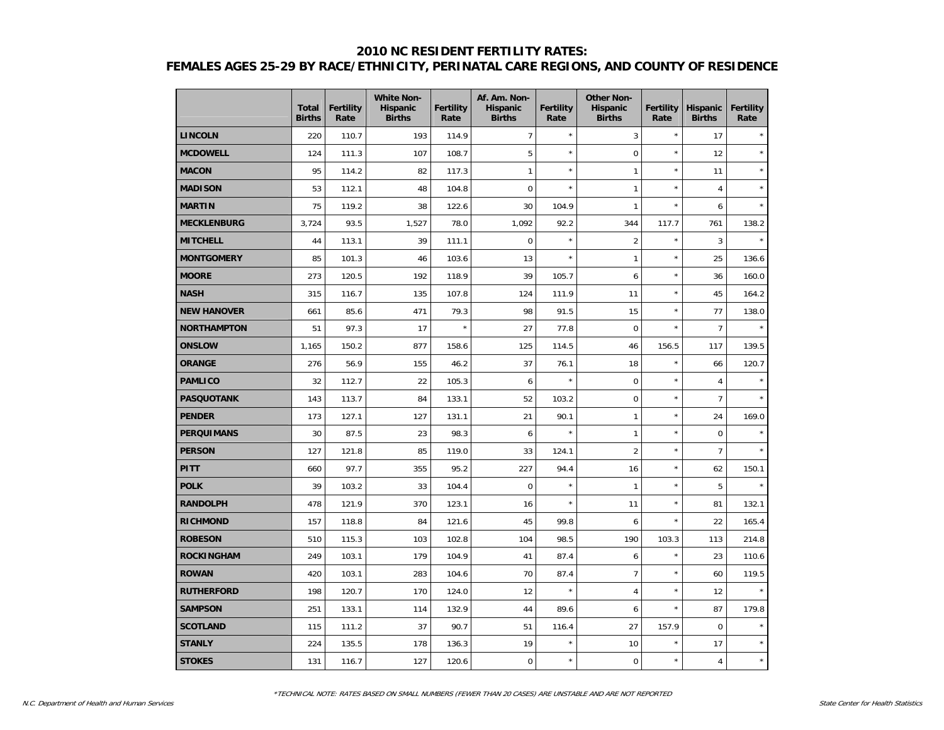### **2010 NC RESIDENT FERTILITY RATES: FEMALES AGES 25-29 BY RACE/ETHNICITY, PERINATAL CARE REGIONS, AND COUNTY OF RESIDENCE**

|                    | <b>Total</b><br><b>Births</b> | <b>Fertility</b><br>Rate | <b>White Non-</b><br>Hispanic<br><b>Births</b> | <b>Fertility</b><br>Rate | Af. Am. Non-<br><b>Hispanic</b><br><b>Births</b> | <b>Fertility</b><br>Rate | <b>Other Non-</b><br><b>Hispanic</b><br><b>Births</b> | Fertility<br>Rate | <b>Hispanic</b><br><b>Births</b> | <b>Fertility</b><br>Rate |
|--------------------|-------------------------------|--------------------------|------------------------------------------------|--------------------------|--------------------------------------------------|--------------------------|-------------------------------------------------------|-------------------|----------------------------------|--------------------------|
| <b>LINCOLN</b>     | 220                           | 110.7                    | 193                                            | 114.9                    | $\overline{7}$                                   | $\star$                  | 3                                                     | $\star$           | 17                               |                          |
| <b>MCDOWELL</b>    | 124                           | 111.3                    | 107                                            | 108.7                    | 5                                                | $\star$                  | $\mathbf 0$                                           | $\star$           | 12                               | $\star$                  |
| <b>MACON</b>       | 95                            | 114.2                    | 82                                             | 117.3                    | $\mathbf{1}$                                     | $\star$                  | $\mathbf{1}$                                          | $\star$           | 11                               | $\star$                  |
| <b>MADISON</b>     | 53                            | 112.1                    | 48                                             | 104.8                    | $\mathbf 0$                                      | $\star$                  | $\mathbf{1}$                                          | $\star$           | $\overline{4}$                   |                          |
| <b>MARTIN</b>      | 75                            | 119.2                    | 38                                             | 122.6                    | 30                                               | 104.9                    | $\mathbf{1}$                                          | $\star$           | 6                                |                          |
| <b>MECKLENBURG</b> | 3,724                         | 93.5                     | 1,527                                          | 78.0                     | 1,092                                            | 92.2                     | 344                                                   | 117.7             | 761                              | 138.2                    |
| <b>MITCHELL</b>    | 44                            | 113.1                    | 39                                             | 111.1                    | $\mathbf 0$                                      | $\star$                  | $\overline{2}$                                        | $\star$           | 3                                | $\star$                  |
| <b>MONTGOMERY</b>  | 85                            | 101.3                    | 46                                             | 103.6                    | 13                                               | $\star$                  | $\mathbf{1}$                                          | $\star$           | 25                               | 136.6                    |
| <b>MOORE</b>       | 273                           | 120.5                    | 192                                            | 118.9                    | 39                                               | 105.7                    | 6                                                     | $\star$           | 36                               | 160.0                    |
| <b>NASH</b>        | 315                           | 116.7                    | 135                                            | 107.8                    | 124                                              | 111.9                    | 11                                                    | $\star$           | 45                               | 164.2                    |
| <b>NEW HANOVER</b> | 661                           | 85.6                     | 471                                            | 79.3                     | 98                                               | 91.5                     | 15                                                    | $\star$           | 77                               | 138.0                    |
| <b>NORTHAMPTON</b> | 51                            | 97.3                     | 17                                             | $\star$                  | 27                                               | 77.8                     | $\mathbf 0$                                           | $\star$           | $\overline{7}$                   |                          |
| <b>ONSLOW</b>      | 1,165                         | 150.2                    | 877                                            | 158.6                    | 125                                              | 114.5                    | 46                                                    | 156.5             | 117                              | 139.5                    |
| <b>ORANGE</b>      | 276                           | 56.9                     | 155                                            | 46.2                     | 37                                               | 76.1                     | 18                                                    | $\star$           | 66                               | 120.7                    |
| <b>PAMLICO</b>     | 32                            | 112.7                    | 22                                             | 105.3                    | $\boldsymbol{6}$                                 | $\star$                  | $\boldsymbol{0}$                                      | $\star$           | $\overline{4}$                   |                          |
| <b>PASQUOTANK</b>  | 143                           | 113.7                    | 84                                             | 133.1                    | 52                                               | 103.2                    | $\mathbf 0$                                           | $\star$           | $\overline{7}$                   |                          |
| <b>PENDER</b>      | 173                           | 127.1                    | 127                                            | 131.1                    | 21                                               | 90.1                     | $\mathbf{1}$                                          | $\star$           | 24                               | 169.0                    |
| <b>PERQUIMANS</b>  | 30                            | 87.5                     | 23                                             | 98.3                     | 6                                                | $\star$                  | $\mathbf{1}$                                          | $\star$           | $\mathbf 0$                      | $\star$                  |
| <b>PERSON</b>      | 127                           | 121.8                    | 85                                             | 119.0                    | 33                                               | 124.1                    | $\overline{2}$                                        | $\star$           | $\overline{7}$                   |                          |
| <b>PITT</b>        | 660                           | 97.7                     | 355                                            | 95.2                     | 227                                              | 94.4                     | 16                                                    | $\star$           | 62                               | 150.1                    |
| <b>POLK</b>        | 39                            | 103.2                    | 33                                             | 104.4                    | $\mathbf 0$                                      | $\star$                  | $\mathbf{1}$                                          | $\star$           | 5                                |                          |
| <b>RANDOLPH</b>    | 478                           | 121.9                    | 370                                            | 123.1                    | 16                                               | $\star$                  | 11                                                    | $\star$           | 81                               | 132.1                    |
| <b>RICHMOND</b>    | 157                           | 118.8                    | 84                                             | 121.6                    | 45                                               | 99.8                     | 6                                                     | $\star$           | 22                               | 165.4                    |
| <b>ROBESON</b>     | 510                           | 115.3                    | 103                                            | 102.8                    | 104                                              | 98.5                     | 190                                                   | 103.3             | 113                              | 214.8                    |
| <b>ROCKINGHAM</b>  | 249                           | 103.1                    | 179                                            | 104.9                    | 41                                               | 87.4                     | 6                                                     | $\star$           | 23                               | 110.6                    |
| <b>ROWAN</b>       | 420                           | 103.1                    | 283                                            | 104.6                    | 70                                               | 87.4                     | $\overline{7}$                                        | $\star$           | 60                               | 119.5                    |
| <b>RUTHERFORD</b>  | 198                           | 120.7                    | 170                                            | 124.0                    | 12                                               | $\star$                  | $\overline{4}$                                        | $\star$           | 12                               |                          |
| <b>SAMPSON</b>     | 251                           | 133.1                    | 114                                            | 132.9                    | 44                                               | 89.6                     | 6                                                     | $\star$           | 87                               | 179.8                    |
| <b>SCOTLAND</b>    | 115                           | 111.2                    | 37                                             | 90.7                     | 51                                               | 116.4                    | 27                                                    | 157.9             | $\mathbf 0$                      |                          |
| <b>STANLY</b>      | 224                           | 135.5                    | 178                                            | 136.3                    | 19                                               | $\star$                  | 10                                                    | $\star$           | 17                               |                          |
| <b>STOKES</b>      | 131                           | 116.7                    | 127                                            | 120.6                    | $\mathbf 0$                                      | $\star$                  | $\mathbf 0$                                           | $\star$           | $\overline{4}$                   | $\star$                  |